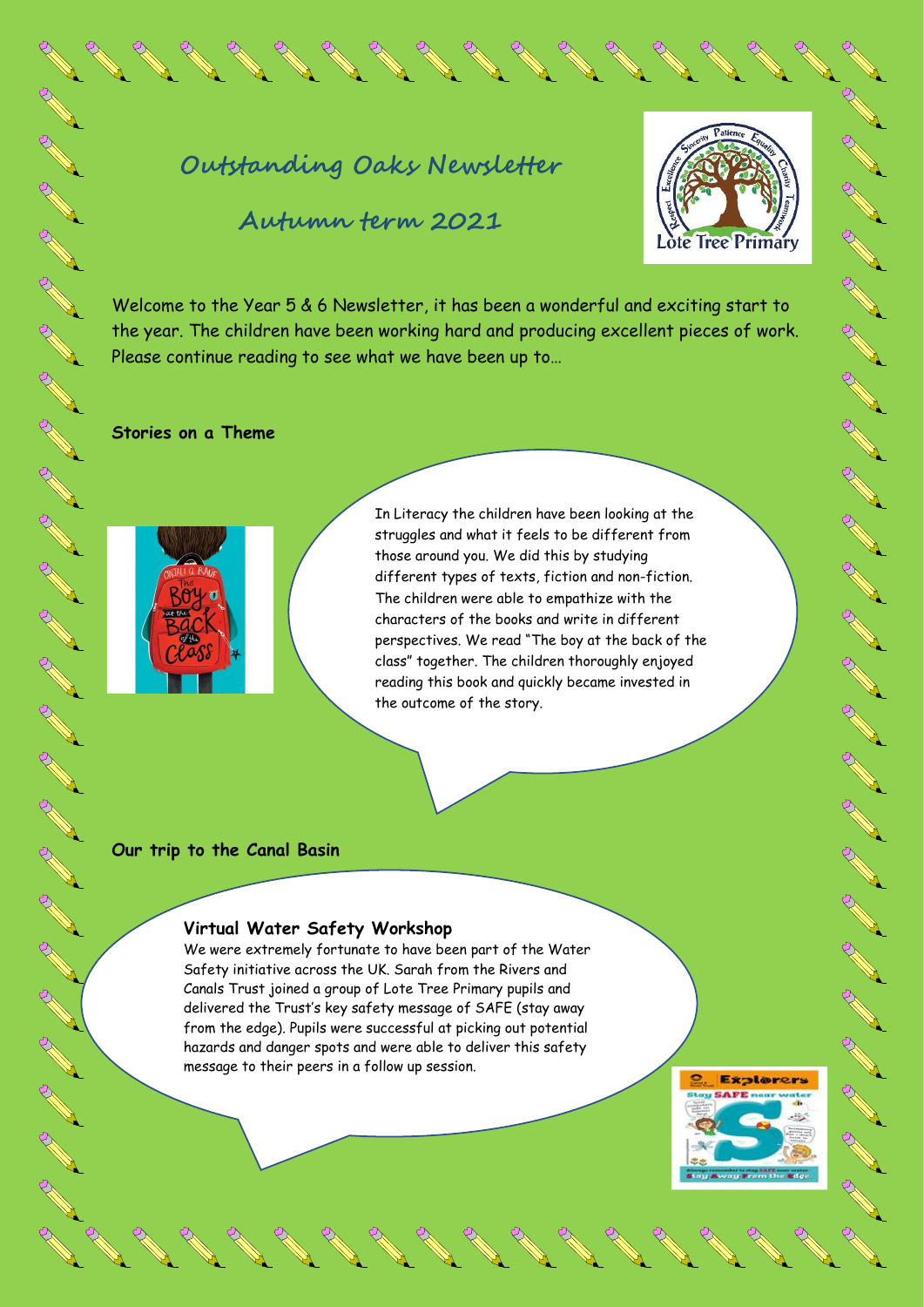# **Outstanding Oaks Newsletter**

**Autumn term 2021**



**CONTROLLER** 

A March

**AND** 

**CONTROLLS** 

**AND RE** 

**RANT** 

A A

A REA

**CONTROLLING** 

A REA

**ARK** 

**RANTA** 

B AMERICA

A A R

**CONTROLL BOOM** 

**CONTROLLER** 

A March

AND A

Welcome to the Year 5 & 6 Newsletter, it has been a wonderful and exciting start to the year. The children have been working hard and producing excellent pieces of work. Please continue reading to see what we have been up to…

**Stories on a Theme**



In Literacy the children have been looking at the struggles and what it feels to be different from those around you. We did this by studying different types of texts, fiction and non-fiction. The children were able to empathize with the characters of the books and write in different perspectives. We read "The boy at the back of the class" together. The children thoroughly enjoyed reading this book and quickly became invested in the outcome of the story.

### **Our trip to the Canal Basin**

#### **Virtual Water Safety Workshop**

We were extremely fortunate to have been part of the Water Safety initiative across the UK. Sarah from the Rivers and Canals Trust joined a group of Lote Tree Primary pupils and delivered the Trust's key safety message of SAFE (stay away from the edge). Pupils were successful at picking out potential hazards and danger spots and were able to deliver this safety message to their peers in a follow up session.

**Explorers** au SAFE n  $-10.5$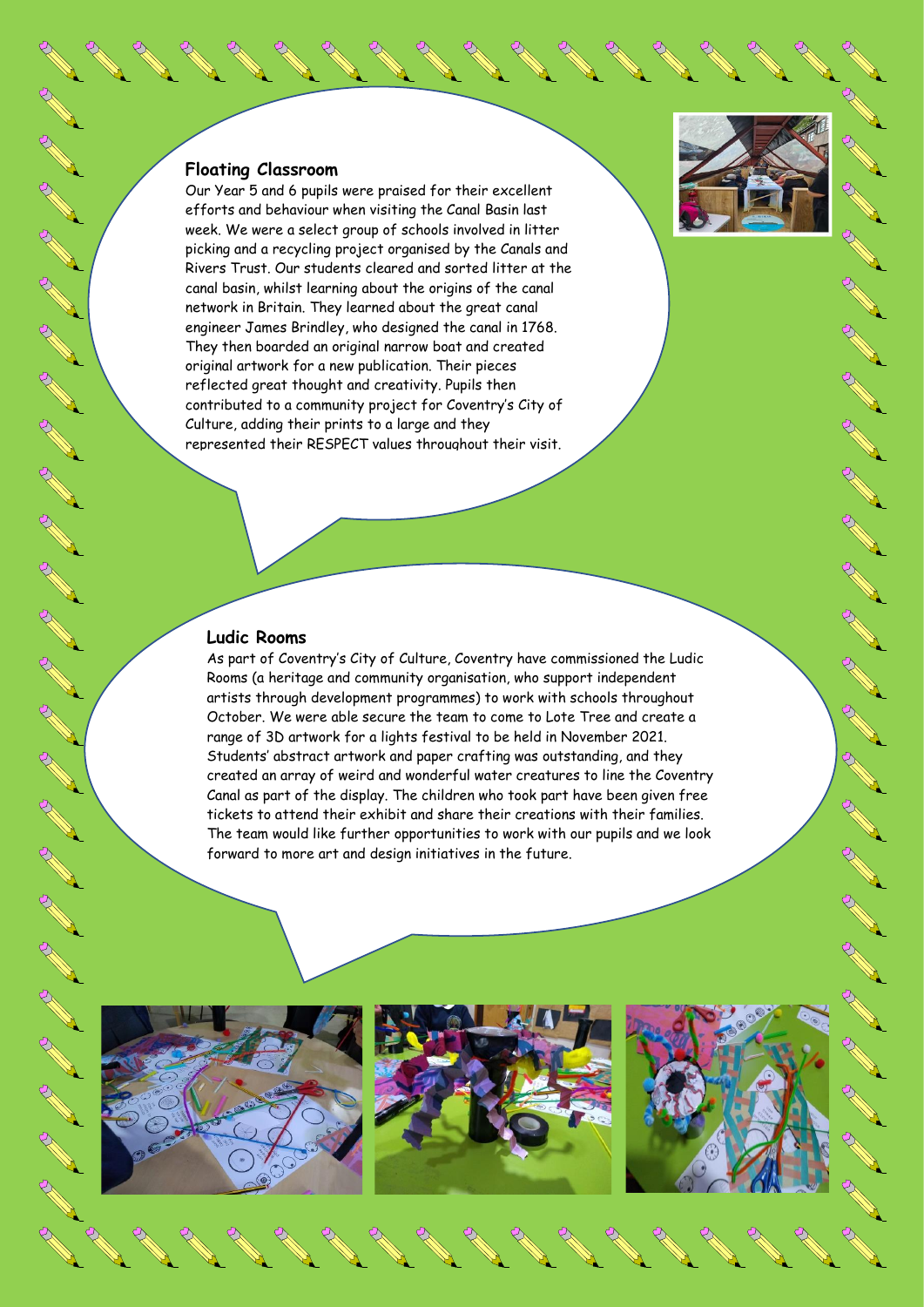#### **Floating Classroom**

A AN

**RANT** 

**RANT** 

**RANT** 

**RANTA** 

RANT

RA RE

**RANT** 

RA RE

RA REA

**ARKA** 

RA REA

RA RE

**CONTROLL BOOM** 

**AND R** 

RA RE

**RANT** 

RA RE

**CONTROLL SECTION** 

Our Year 5 and 6 pupils were praised for their excellent efforts and behaviour when visiting the Canal Basin last week. We were a select group of schools involved in litter picking and a recycling project organised by the Canals and Rivers Trust. Our students cleared and sorted litter at the canal basin, whilst learning about the origins of the canal network in Britain. They learned about the great canal engineer James Brindley, who designed the canal in 1768. They then boarded an original narrow boat and created original artwork for a new publication. Their pieces reflected great thought and creativity. Pupils then contributed to a community project for Coventry's City of Culture, adding their prints to a large and they represented their RESPECT values throughout their visit.

## **Ludic Rooms**

As part of Coventry's City of Culture, Coventry have commissioned the Ludic Rooms (a heritage and community organisation, who support independent artists through development programmes) to work with schools throughout October. We were able secure the team to come to Lote Tree and create a range of 3D artwork for a lights festival to be held in November 2021. Students' abstract artwork and paper crafting was outstanding, and they created an array of weird and wonderful water creatures to line the Coventry Canal as part of the display. The children who took part have been given free tickets to attend their exhibit and share their creations with their families. The team would like further opportunities to work with our pupils and we look forward to more art and design initiatives in the future.







**ARK** 

**RANTA** 

**RANT** 

A RAS

RAND RD

Contraction of

Contraction of

**RANT** 

**CONTROLLER** 

A RIVER

**Contract of Contract of Contract of Contract of Contract of Contract of Contract of Contract of Contract of Co**